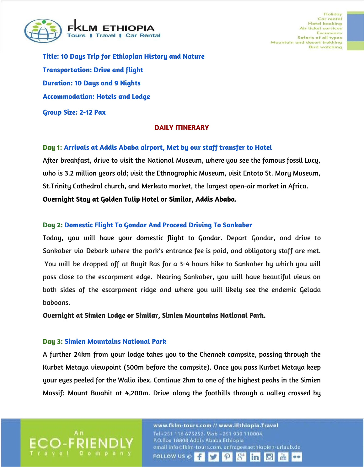

Holiday Car rental **Hotel booking** Air ticket services **Excursions** Safaris of all types Mountain and desert trekking **Bird watching** 

**Title: 10 Days Trip for Ethiopian History and Nature Transportation: Drive and flight Duration: 10 Days and 9 Nights Accommodation: Hotels and Lodge Group Size: 2-12 Pax**

#### **DAILY ITINERARY**

#### **Day 1: Arrivals at Addis Ababa airport, Met by our staff transfer to Hotel**

After breakfast, drive to visit the National Museum, where you see the famous fossil Lucy, who is 3.2 million years old; visit the Ethnographic Museum, visit Entoto St. Mary Museum, St.Trinity Cathedral church, and Merkato market, the largest open-air market in Africa. **Overnight Stay at Golden Tulip Hotel or Similar, Addis Ababa.**

#### **Day 2: Domestic Flight To Gondar And Proceed Driving To Sankaber**

Today, you will have your domestic flight to Gondar. Depart Gondar, and drive to Sankaber via Debark where the park's entrance fee is paid, and obligatory staff are met. You will be dropped off at Buyit Ras for a 3-4 hours hike to Sankaber by which you will pass close to the escarpment edge. Nearing Sankaber, you will have beautiful views on both sides of the escarpment ridge and where you will likely see the endemic Gelada baboons.

**Overnight at Simien Lodge or Similar, Simien Mountains National Park.**

#### **Day 3: Simien Mountains National Park**

A further 24km from your lodge takes you to the Chennek campsite, passing through the Kurbet Metaya viewpoint (500m before the campsite). Once you pass Kurbet Metaya keep your eyes peeled for the Walia ibex. Continue 2km to one of the highest peaks in the Simien Massif: Mount Bwahit at 4,200m. Drive along the foothills through a valley crossed by

**FOLLOW US @** 

www.fklm-tours.com // www.iEthiopia.Travel Tel+251 116 675252, Mob +251 930 110004, P.O.Box 18808, Addis Ababa, Ethiopia email info@fklm-tours.com, anfrage@aethlopien-urlaub.de

 $\boldsymbol{\varphi}$ 

in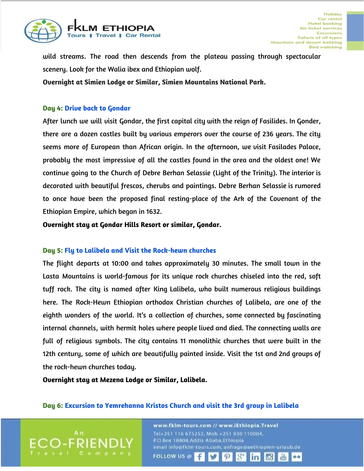

wild streams. The road then descends from the plateau passing through spectacular scenery. Look for the Walia ibex and Ethiopian wolf.

**Overnight at Simien Lodge or Similar, Simien Mountains National Park.**

#### **Day 4: Drive back to Gondar**

After lunch we will visit Gondar, the first capital city with the reign of Fasilides. In Gonder, there are a dozen castles built by various emperors over the course of 236 years. The city seems more of European than African origin. In the afternoon, we visit Fasilades Palace, probably the most impressive of all the castles found in the area and the oldest one! We continue going to the Church of Debre Berhan Selassie (Light of the Trinity). The interior is decorated with beautiful frescos, cherubs and paintings. Debre Berhan Selassie is rumored to once have been the proposed final resting-place of the Ark of the Covenant of the Ethiopian Empire, which began in 1632.

**Overnight stay at Gondar Hills Resort or similar, Gondar.**

#### **Day 5: Fly to Lalibela and Visit the Rock-hewn churches**

The flight departs at 10:00 and takes approximately 30 minutes. The small town in the Lasta Mountains is world-famous for its unique rock churches chiseled into the red, soft tuff rock. The city is named after King Lalibela, who built numerous religious buildings here. The Rock-Hewn Ethiopian orthodox Christian churches of Lalibela, are one of the eighth wonders of the world. It's a collection of churches, some connected by fascinating internal channels, with hermit holes where people lived and died. The connecting walls are full of religious symbols. The city contains 11 monolithic churches that were built in the 12th century, some of which are beautifully painted inside. Visit the 1st and 2nd groups of the rock-hewn churches today.

**Overnight stay at Mezena Lodge or Similar, Lalibela.**

#### **Day 6: Excursion to Yemrehanna Kristos Church and visit the 3rd group in Lalibela**

www.fklm-tours.com // www.iEthiopia.Travel Tel+251 116 675252, Mob +251 930 110004, P.O.Box 18808, Addis Ababa, Ethiopia email info@fklm-tours.com, anfrage@aethiopien-urlaub.de **FOLLOW US @**  $\boldsymbol{\varphi}$ in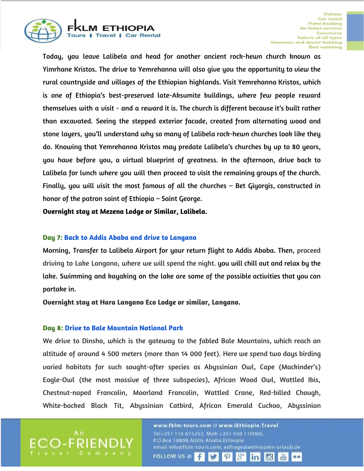

Today, you leave Lalibela and head for another ancient rock-hewn church known as Yimrhane Kristos. The drive to Yemrehanna will also give you the opportunity to view the rural countryside and villages of the Ethiopian highlands. Visit Yemrehanna Kristos, which is one of Ethiopia's best-preserved late-Aksumite buildings, where few people reward themselves with a visit - and a reward it is. The church is different because it's built rather than excavated. Seeing the stepped exterior facade, created from alternating wood and stone layers, you'll understand why so many of Lalibela rock-hewn churches look like they do. Knowing that Yemrehanna Kristos may predate Lalibela's churches by up to 80 years, you have before you, a virtual blueprint of greatness. In the afternoon, drive back to Lalibela for lunch where you will then proceed to visit the remaining groups of the church. Finally, you will visit the most famous of all the churches – Bet Giyorgis, constructed in honor of the patron saint of Ethiopia – Saint George.

**Overnight stay at Mezena Lodge or Similar, Lalibela.**

### **Day 7: Back to Addis Ababa and drive to Langano**

Morning, Transfer to Lalibela Airport for your return flight to Addis Ababa. Then, proceed driving to Lake Langano, where we will spend the night. you will chill out and relax by the lake. Swimming and kayaking on the lake are some of the possible activities that you can partake in.

**Overnight stay at Hara Langano Eco Lodge or similar, Langano.**

#### **Day 8: Drive to Bale Mountain National Park**

We drive to Dinsho, which is the gateway to the fabled Bale Mountains, which reach an altitude of around 4 500 meters (more than 14 000 feet). Here we spend two days birding varied habitats for such sought-after species as Abyssinian Owl, Cape (Mackinder's) Eagle-Owl (the most massive of three subspecies), African Wood Owl, Wattled Ibis, Chestnut-naped Francolin, Moorland Francolin, Wattled Crane, Red-billed Chough, White-backed Black Tit, Abyssinian Catbird, African Emerald Cuckoo, Abyssinian

> www.fklm-tours.com // www.iEthiopia.Travel Tel+251 116 675252, Mob +251 930 110004, P.O.Box 18808, Addis Ababa, Ethiopia email info@fklm-tours.com, anfrage@aethiopien-urlaub.de **FOLLOW US @**  $\mathcal{P}$ in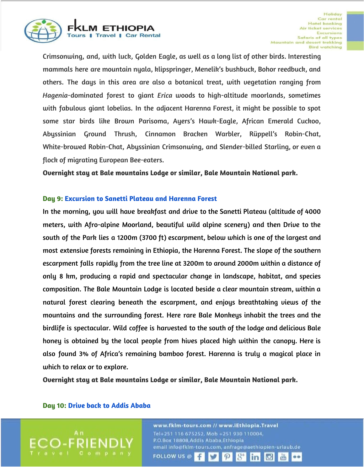

Crimsonwing, and, with luck, Golden Eagle, as well as a long list of other birds. Interesting mammals here are mountain nyala, klipspringer, Menelik's bushbuck, Bohor reedbuck, and others. The days in this area are also a botanical treat, with vegetation ranging from *Hagenia*-dominated forest to giant *Erica* woods to high-altitude moorlands, sometimes with fabulous giant lobelias. In the adjacent Harenna Forest, it might be possible to spot some star birds like Brown Parisoma, Ayers's Hawk-Eagle, African Emerald Cuckoo, Abyssinian Ground Thrush, Cinnamon Bracken Warbler, Rüppell's Robin-Chat, White-browed Robin-Chat, Abyssinian Crimsonwing, and Slender-billed Starling, or even a flock of migrating European Bee-eaters.

**Overnight stay at Bale mountains Lodge or similar, Bale Mountain National park.**

#### **Day 9: Excursion to Sanetti Plateau and Harenna Forest**

In the morning, you will have breakfast and drive to the Sanetti Plateau (altitude of 4000 meters, with Afro-alpine Moorland, beautiful wild alpine scenery) and then Drive to the south of the Park lies a 1200m (3700 ft) escarpment, below which is one of the largest and most extensive forests remaining in Ethiopia, the Harenna Forest. The slope of the southern escarpment falls rapidly from the tree line at 3200m to around 2000m within a distance of only 8 km, producing a rapid and spectacular change in landscape, habitat, and species composition. The Bale Mountain Lodge is located beside a clear mountain stream, within a natural forest clearing beneath the escarpment, and enjoys breathtaking views of the mountains and the surrounding forest. Here rare Bale Monkeys inhabit the trees and the birdlife is spectacular. Wild coffee is harvested to the south of the lodge and delicious Bale honey is obtained by the local people from hives placed high within the canopy. Here is also found 3% of Africa's remaining bamboo forest. Harenna is truly a magical place in which to relax or to explore.

**Overnight stay at Bale mountains Lodge or similar, Bale Mountain National park.**

#### **Day 10: Drive back to Addis Ababa**

www.fklm-tours.com // www.iEthiopia.Travel Tel+251 116 675252, Mob +251 930 110004, P.O.Box 18808, Addis Ababa, Ethiopia email info@fklm-tours.com, anfrage@aethiopien-urlaub.de **FOLLOW US @**  $\mathcal{P}$ in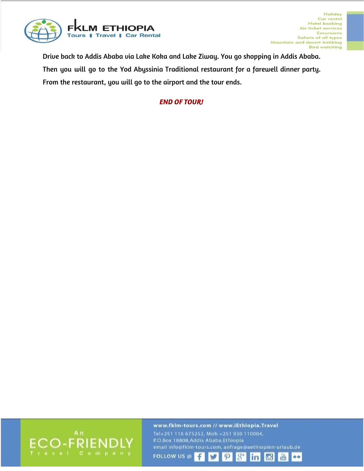

Drive back to Addis Ababa via Lake Koka and Lake Ziway. You go shopping in Addis Ababa. Then you will go to the Yod Abyssinia Traditional restaurant for a farewell dinner party. From the restaurant, you will go to the airport and the tour ends.

## *END OF TOUR!*



www.fklm-tours.com // www.iEthiopia.Travel Tel+251 116 675252, Mob +251 930 110004, P.O.Box 18808, Addis Ababa, Ethiopia email info@fklm-tours.com, anfrage@aethiopien-urlaub.de  $8^{\circ}$ **FOLLOW US @** f  $\mathcal{P}$ v linl **IC** 

dillo

..